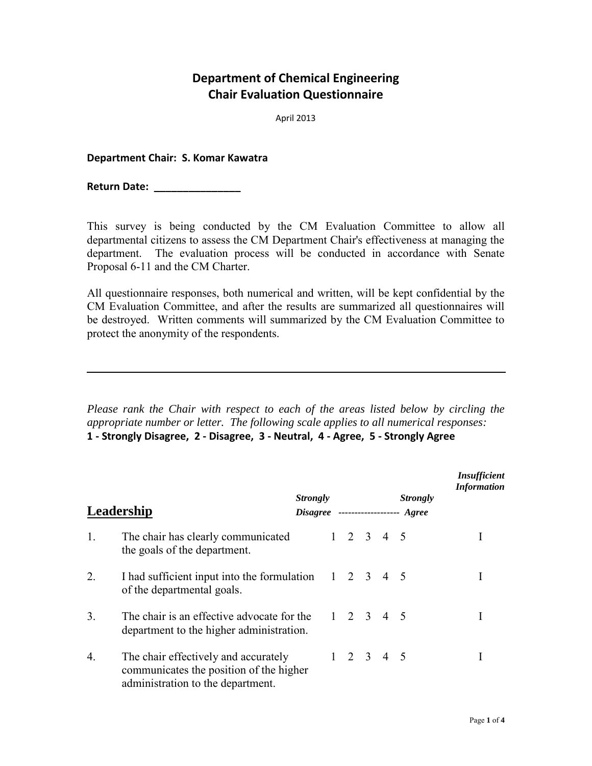## **Department of Chemical Engineering Chair Evaluation Questionnaire**

April 2013

## **Department Chair: S. Komar Kawatra**

**Return Date: \_\_\_\_\_\_\_\_\_\_\_\_\_\_\_**

This survey is being conducted by the CM Evaluation Committee to allow all departmental citizens to assess the CM Department Chair's effectiveness at managing the department. The evaluation process will be conducted in accordance with Senate Proposal 6-11 and the CM Charter.

All questionnaire responses, both numerical and written, will be kept confidential by the CM Evaluation Committee, and after the results are summarized all questionnaires will be destroyed. Written comments will summarized by the CM Evaluation Committee to protect the anonymity of the respondents.

*Please rank the Chair with respect to each of the areas listed below by circling the appropriate number or letter. The following scale applies to all numerical responses:* 

**1 - Strongly Disagree, 2 - Disagree, 3 - Neutral, 4 - Agree, 5 - Strongly Agree**

| Leadership |                                                                                                                      | <i>Strongly</i><br>$Disagree$ -------------------- |                     |  | <b>Strongly</b><br>Agree | Insufficient<br><b>Information</b> |  |  |
|------------|----------------------------------------------------------------------------------------------------------------------|----------------------------------------------------|---------------------|--|--------------------------|------------------------------------|--|--|
| 1.         | The chair has clearly communicated<br>the goals of the department.                                                   |                                                    | $1 \t2 \t3 \t4 \t5$ |  |                          |                                    |  |  |
| 2.         | I had sufficient input into the formulation 1 2 3 4 5<br>of the departmental goals.                                  |                                                    |                     |  |                          |                                    |  |  |
| 3.         | The chair is an effective advocate for the<br>department to the higher administration.                               |                                                    | $1 \t2 \t3 \t4 \t5$ |  |                          |                                    |  |  |
| 4.         | The chair effectively and accurately<br>communicates the position of the higher<br>administration to the department. |                                                    | $1 \t2 \t3 \t4 \t5$ |  |                          |                                    |  |  |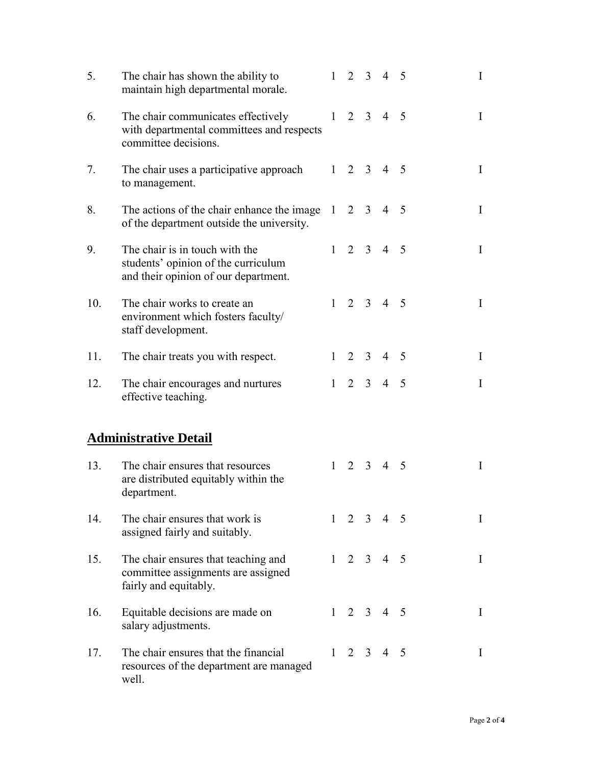| 5.  | The chair has shown the ability to<br>maintain high departmental morale.                                      |              | $1\quad 2\quad 3$ |             | $4\quad 5$          |                |  | $\bf{I}$    |
|-----|---------------------------------------------------------------------------------------------------------------|--------------|-------------------|-------------|---------------------|----------------|--|-------------|
| 6.  | The chair communicates effectively<br>with departmental committees and respects<br>committee decisions.       |              | $1\quad 2\quad 3$ |             | $4\quad 5$          |                |  | $\bf{I}$    |
| 7.  | The chair uses a participative approach<br>to management.                                                     |              | $1\quad 2\quad 3$ |             | $4\quad 5$          |                |  | $\mathbf I$ |
| 8.  | The actions of the chair enhance the image<br>of the department outside the university.                       | 1            |                   | $2 \quad 3$ | $\overline{4}$      | $\overline{5}$ |  | $\mathbf I$ |
| 9.  | The chair is in touch with the<br>students' opinion of the curriculum<br>and their opinion of our department. |              |                   |             | $1 \t2 \t3 \t4 \t5$ |                |  | $\bf{I}$    |
| 10. | The chair works to create an<br>environment which fosters faculty/<br>staff development.                      |              | $1\quad 2\quad 3$ |             | $\overline{4}$      | 5              |  | I           |
| 11. | The chair treats you with respect.                                                                            | $\mathbf{1}$ |                   | $2 \quad 3$ | $\overline{4}$      | 5              |  | $\mathbf I$ |
| 12. | The chair encourages and nurtures<br>effective teaching.                                                      | 1            |                   | $2 \quad 3$ | $\overline{4}$      | 5              |  | I           |
|     | <b>Administrative Detail</b>                                                                                  |              |                   |             |                     |                |  |             |
| 13. | The chair ensures that resources<br>are distributed equitably within the<br>department.                       | $\mathbf{1}$ |                   | $2 \quad 3$ | $\overline{4}$      | 5              |  | I           |
| 14. | The chair ensures that work is<br>assigned fairly and suitably.                                               |              |                   |             | $1 \t2 \t3 \t4 \t5$ |                |  | I           |
| 15. | The chair ensures that teaching and<br>committee assignments are assigned<br>fairly and equitably.            |              |                   |             | $1 \t2 \t3 \t4 \t5$ |                |  | $\bf{I}$    |
| 16. | Equitable decisions are made on<br>salary adjustments.                                                        |              |                   |             | $1 \t2 \t3 \t4 \t5$ |                |  | $\bf{I}$    |
| 17. | The chair ensures that the financial<br>resources of the department are managed<br>well.                      |              |                   |             | $1 \t2 \t3 \t4 \t5$ |                |  | $\bf{I}$    |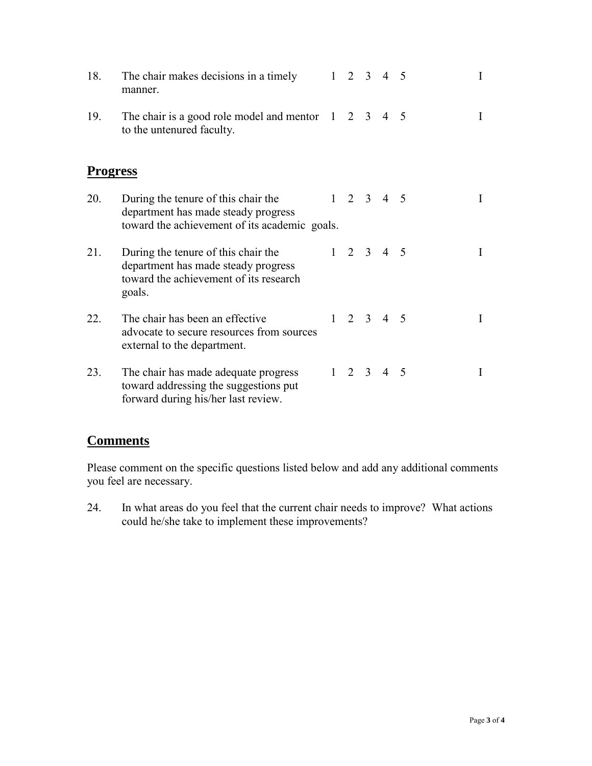| 18.             | The chair makes decisions in a timely<br>manner.                                                                               | $1 \quad 2 \quad 3$ |                     | $\overline{4}$      | -5 | I |
|-----------------|--------------------------------------------------------------------------------------------------------------------------------|---------------------|---------------------|---------------------|----|---|
| 19.             | The chair is a good role model and mentor $1$<br>to the untenured faculty.                                                     |                     | 2 3                 | 4 5                 |    | I |
| <b>Progress</b> |                                                                                                                                |                     |                     |                     |    |   |
| 20.             | During the tenure of this chair the<br>department has made steady progress<br>toward the achievement of its academic goals.    |                     |                     | $1 \t2 \t3 \t4 \t5$ |    | I |
| 21.             | During the tenure of this chair the<br>department has made steady progress<br>toward the achievement of its research<br>goals. |                     | $1 \quad 2 \quad 3$ | 4 5                 |    | I |
| 22.             | The chair has been an effective<br>advocate to secure resources from sources<br>external to the department.                    |                     |                     | $1 \t2 \t3 \t4 \t5$ |    | I |
| 23.             | The chair has made adequate progress<br>toward addressing the suggestions put<br>forward during his/her last review.           |                     | $1\quad 2\quad 3$   | $\overline{4}$      | 5  | I |

## **Comments**

Please comment on the specific questions listed below and add any additional comments you feel are necessary.

24. In what areas do you feel that the current chair needs to improve? What actions could he/she take to implement these improvements?